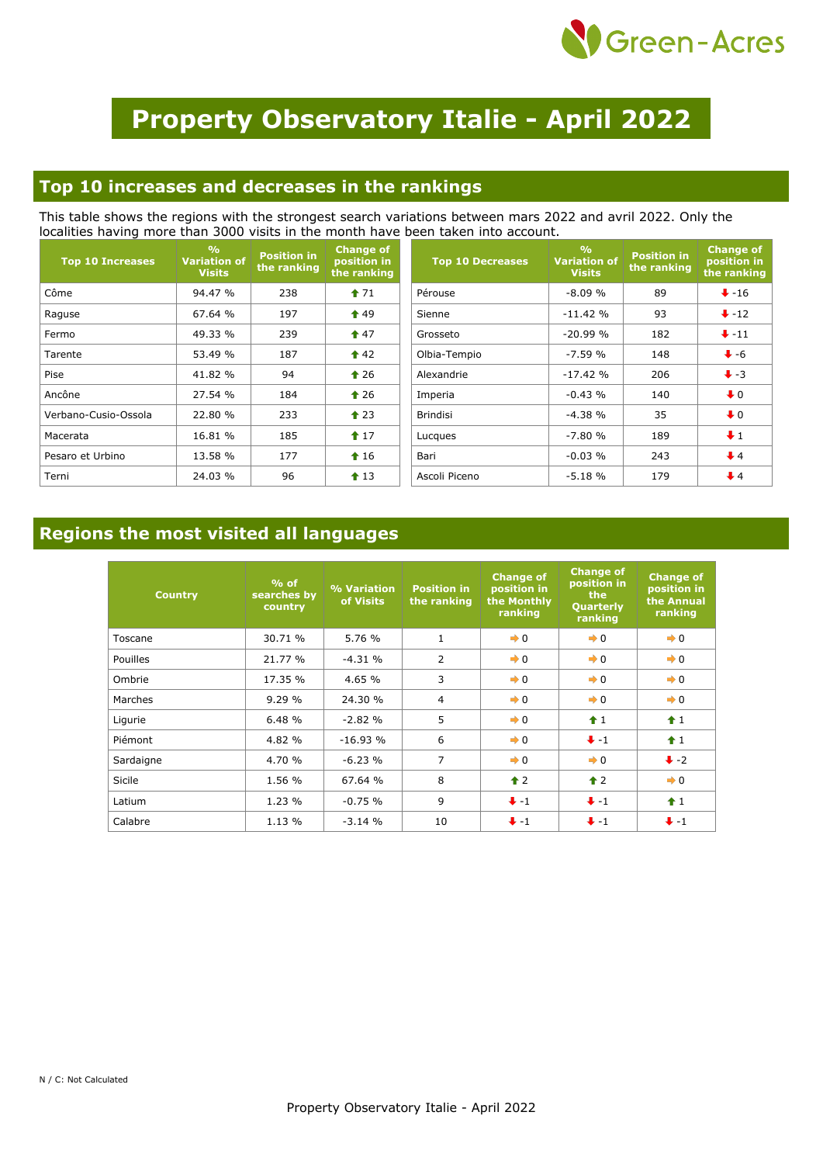

# **Property Observatory Italie - April 2022**

#### **Top 10 increases and decreases in the rankings**

This table shows the regions with the strongest search variations between mars 2022 and avril 2022. Only the localities having more than 3000 visits in the month have been taken into account.

| <b>Top 10 Increases</b> | $\frac{0}{0}$<br><b>Variation of</b><br><b>Visits</b> | <b>Position</b> in<br>the ranking | <b>Change of</b><br>position in<br>the ranking | <b>Top 10 Decreases</b> | $\frac{0}{0}$<br><b>Variation of</b><br><b>Visits</b> | <b>Position in</b><br>the ranking | <b>Change of</b><br>position in<br>the ranking |
|-------------------------|-------------------------------------------------------|-----------------------------------|------------------------------------------------|-------------------------|-------------------------------------------------------|-----------------------------------|------------------------------------------------|
| Côme                    | 94.47 %                                               | 238                               | $\textcolor{blue}{\bullet}$ 71                 | Pérouse                 | $-8.09%$                                              | 89                                | $\bigstar$ -16                                 |
| Raguse                  | 67.64 %                                               | 197                               | $\textcolor{blue}{\bigstar}$ 49                | Sienne                  | $-11.42%$                                             | 93                                | $\bigvee -12$                                  |
| Fermo                   | 49.33 %                                               | 239                               | $\hat{T}$ 47                                   | Grosseto                | $-20.99%$                                             | 182                               | $+11$                                          |
| Tarente                 | 53.49 %                                               | 187                               | $\triangle$ 42                                 | Olbia-Tempio            | $-7.59%$                                              | 148                               | $\bullet$ -6                                   |
| Pise                    | 41.82 %                                               | 94                                | $\triangle$ 26                                 | Alexandrie              | $-17.42%$                                             | 206                               | $\ddot{\bullet}$ -3                            |
| Ancône                  | 27.54 %                                               | 184                               | $\triangle$ 26                                 | Imperia                 | $-0.43%$                                              | 140                               | $\bullet$ 0                                    |
| Verbano-Cusio-Ossola    | 22.80 %                                               | 233                               | $\triangle$ 23                                 | <b>Brindisi</b>         | $-4.38%$                                              | 35                                | $\bullet$ 0                                    |
| Macerata                | 16.81 %                                               | 185                               | $17$                                           | Lucques                 | $-7.80%$                                              | 189                               | $\ddot{\bullet}$ 1                             |
| Pesaro et Urbino        | 13.58 %                                               | 177                               | $\textcolor{blue}{\bigstar}$ 16                | Bari                    | $-0.03%$                                              | 243                               | $\bigdownarrow$ 4                              |
| Terni                   | 24.03 %                                               | 96                                | $\textbf{1}3$                                  | Ascoli Piceno           | $-5.18%$                                              | 179                               | $\bigtriangledown$ 4                           |

### **Regions the most visited all languages**

| <b>Country</b>  | $%$ of<br>searches by<br>country | % Variation<br>of Visits | <b>Position in</b><br>the ranking | <b>Change of</b><br>position in<br>the Monthly<br>ranking | <b>Change of</b><br>position in<br>the<br>Quarterly<br>ranking | <b>Change of</b><br>position in<br>the Annual<br>ranking |
|-----------------|----------------------------------|--------------------------|-----------------------------------|-----------------------------------------------------------|----------------------------------------------------------------|----------------------------------------------------------|
| Toscane         | 30.71 %                          | 5.76 %                   | 1                                 | $\rightarrow 0$                                           | $\rightarrow 0$                                                | $\rightarrow 0$                                          |
| <b>Pouilles</b> | 21.77 %                          | $-4.31 \%$               | $\overline{2}$                    | $\rightarrow 0$                                           | $\rightarrow 0$                                                | $\rightarrow 0$                                          |
| Ombrie          | 17.35 %                          | 4.65 %                   | 3                                 | $\rightarrow 0$                                           | $\rightarrow 0$                                                | $\rightarrow 0$                                          |
| Marches         | 9.29%                            | 24.30 %                  | $\overline{4}$                    | $\rightarrow 0$                                           | $\rightarrow 0$                                                | $\rightarrow 0$                                          |
| Ligurie         | 6.48%                            | $-2.82%$                 | 5                                 | $\rightarrow 0$                                           | $+1$                                                           | f1                                                       |
| Piémont         | 4.82 %                           | $-16.93%$                | 6                                 | $\rightarrow 0$                                           | $+ -1$                                                         | $f$ 1                                                    |
| Sardaigne       | 4.70 %                           | $-6.23%$                 | 7                                 | $\rightarrow 0$                                           | $\rightarrow 0$                                                | $\ddot{+}$ -2                                            |
| Sicile          | 1.56 %                           | 67.64 %                  | 8                                 | $\hat{\mathbf{r}}$ 2                                      | $\triangle$ 2                                                  | $\rightarrow 0$                                          |
| Latium          | 1.23 %                           | $-0.75%$                 | 9                                 | $+ -1$                                                    | $+ -1$                                                         | $\hat{+}1$                                               |
| Calabre         | 1.13 %                           | $-3.14%$                 | 10                                | $+ -1$                                                    | $+ -1$                                                         | $+ -1$                                                   |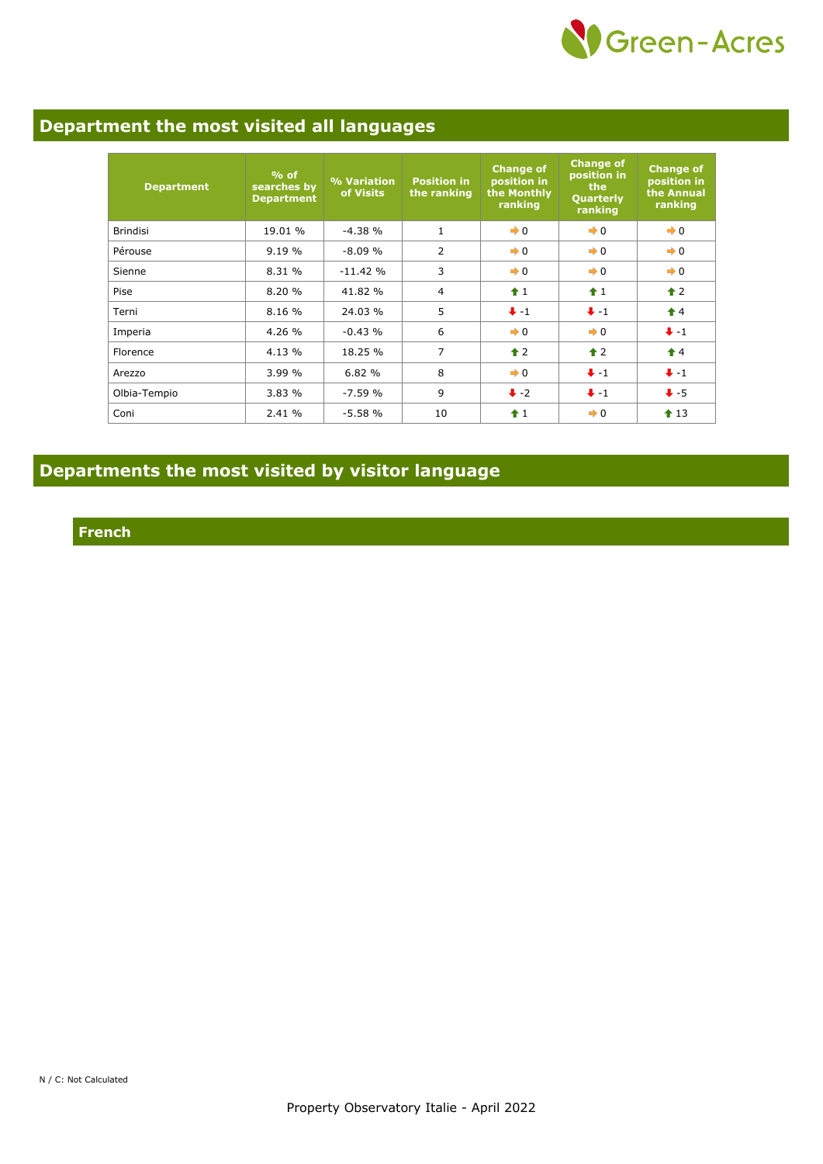

## **Department the most visited all languages**

| <b>Department</b> | $%$ of<br>searches by<br><b>Department</b> | % Variation<br>of Visits | <b>Position in</b><br>the ranking | <b>Change of</b><br>position in<br>the Monthly<br>ranking | <b>Change of</b><br>position in<br>the<br>Quarterly<br>ranking | <b>Change of</b><br>position in<br>the Annual<br>ranking |
|-------------------|--------------------------------------------|--------------------------|-----------------------------------|-----------------------------------------------------------|----------------------------------------------------------------|----------------------------------------------------------|
| <b>Brindisi</b>   | 19.01 %                                    | $-4.38%$                 | $\mathbf{1}$                      | $\rightarrow 0$                                           | $\rightarrow 0$                                                | $\rightarrow 0$                                          |
| Pérouse           | 9.19%                                      | $-8.09%$                 | 2                                 | $\rightarrow 0$                                           | $\rightarrow 0$                                                | $\rightarrow 0$                                          |
| Sienne            | 8.31 %                                     | $-11.42%$                | 3                                 | $\rightarrow 0$                                           | $\rightarrow 0$                                                | $\rightarrow 0$                                          |
| Pise              | 8.20%                                      | 41.82 %                  | 4                                 | $\hat{+}1$                                                | $\hat{+}1$                                                     | $\hat{\mathbf{r}}$ 2                                     |
| Terni             | 8.16 %                                     | 24.03 %                  | 5                                 | $+ -1$                                                    | $+ -1$                                                         | $\hat{\mathbf{r}}$ 4                                     |
| Imperia           | 4.26 %                                     | $-0.43%$                 | 6                                 | $\rightarrow 0$                                           | $\rightarrow 0$                                                | $+ -1$                                                   |
| Florence          | 4.13 %                                     | 18.25 %                  | 7                                 | $\triangle$ 2                                             | $\triangle$ 2                                                  | $\triangle$ 4                                            |
| Arezzo            | 3.99%                                      | 6.82%                    | 8                                 | $\rightarrow 0$                                           | $+ -1$                                                         | $+ -1$                                                   |
| Olbia-Tempio      | 3.83%                                      | $-7.59%$                 | 9                                 | $\ddot{\bullet}$ -2                                       | $+ -1$                                                         | $+5$                                                     |
| Coni              | 2.41%                                      | $-5.58%$                 | 10                                | $\hat{1}$                                                 | $\rightarrow 0$                                                | $\textbf{1}3$                                            |

## **Departments the most visited by visitor language**

**French**